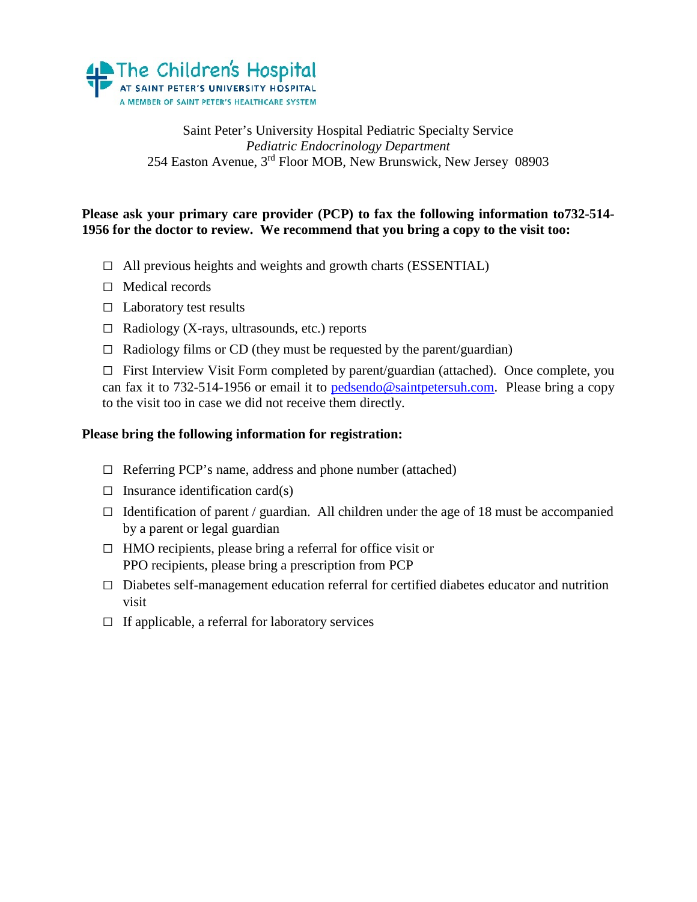

Saint Peter's University Hospital Pediatric Specialty Service *Pediatric Endocrinology Department* 254 Easton Avenue, 3rd Floor MOB, New Brunswick, New Jersey 08903

### **Please ask your primary care provider (PCP) to fax the following information to732-514- 1956 for the doctor to review. We recommend that you bring a copy to the visit too:**

- **□** All previous heights and weights and growth charts (ESSENTIAL)
- **□** Medical records
- **□** Laboratory test results
- **□** Radiology (X-rays, ultrasounds, etc.) reports
- **□** Radiology films or CD (they must be requested by the parent/guardian)

**□** First Interview Visit Form completed by parent/guardian (attached). Once complete, you can fax it to 732-514-1956 or email it to [pedsendo@saintpetersuh.com.](mailto:pedsendo@saintpetersuh.com) Please bring a copy to the visit too in case we did not receive them directly.

### **Please bring the following information for registration:**

- **□** Referring PCP's name, address and phone number (attached)
- **□** Insurance identification card(s)
- **□** Identification of parent / guardian. All children under the age of 18 must be accompanied by a parent or legal guardian
- **□** HMO recipients, please bring a referral for office visit or PPO recipients, please bring a prescription from PCP
- **□** Diabetes self-management education referral for certified diabetes educator and nutrition visit
- **□** If applicable, a referral for laboratory services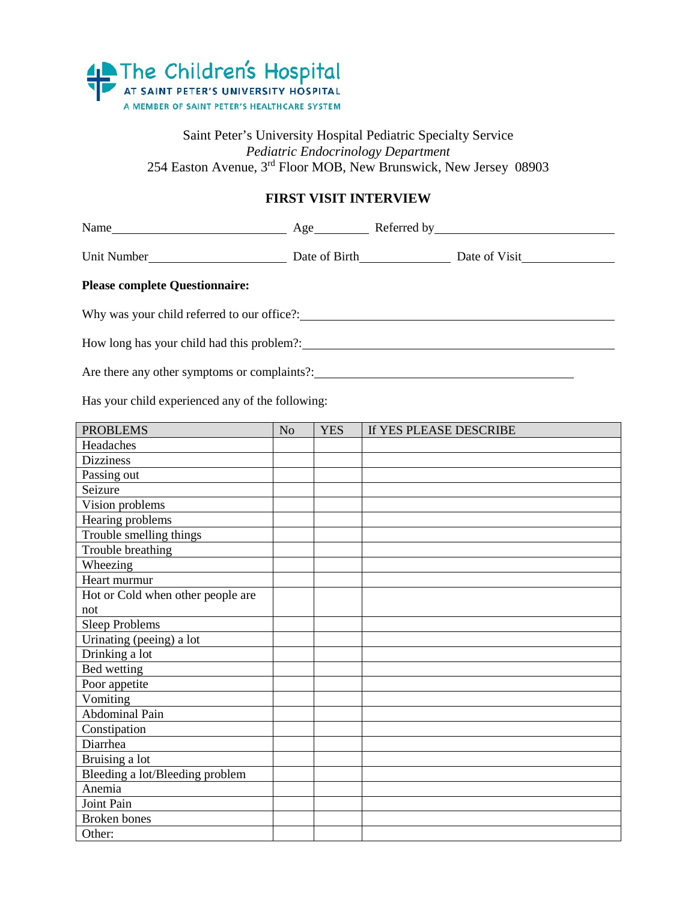

### Saint Peter's University Hospital Pediatric Specialty Service *Pediatric Endocrinology Department* 254 Easton Avenue, 3<sup>rd</sup> Floor MOB, New Brunswick, New Jersey 08903

### **FIRST VISIT INTERVIEW**

| Unit Number<br>Date of Birth<br>Date of Birth<br>Date of Visit |                |            |                        |  |  |  |
|----------------------------------------------------------------|----------------|------------|------------------------|--|--|--|
| <b>Please complete Questionnaire:</b>                          |                |            |                        |  |  |  |
| Why was your child referred to our office?:                    |                |            |                        |  |  |  |
|                                                                |                |            |                        |  |  |  |
| Are there any other symptoms or complaints?                    |                |            |                        |  |  |  |
| Has your child experienced any of the following:               |                |            |                        |  |  |  |
| <b>PROBLEMS</b>                                                | N <sub>0</sub> | <b>YES</b> | If YES PLEASE DESCRIBE |  |  |  |

| PROBLEMS                          | <b>INO</b> | 1 L.S | II TES PLEASE DESURIBE |
|-----------------------------------|------------|-------|------------------------|
| Headaches                         |            |       |                        |
| <b>Dizziness</b>                  |            |       |                        |
| Passing out                       |            |       |                        |
| Seizure                           |            |       |                        |
| Vision problems                   |            |       |                        |
| Hearing problems                  |            |       |                        |
| Trouble smelling things           |            |       |                        |
| Trouble breathing                 |            |       |                        |
| Wheezing                          |            |       |                        |
| Heart murmur                      |            |       |                        |
| Hot or Cold when other people are |            |       |                        |
| not                               |            |       |                        |
| <b>Sleep Problems</b>             |            |       |                        |
| Urinating (peeing) a lot          |            |       |                        |
| Drinking a lot                    |            |       |                        |
| <b>Bed</b> wetting                |            |       |                        |
| Poor appetite                     |            |       |                        |
| $\overline{V}$ omiting            |            |       |                        |
| Abdominal Pain                    |            |       |                        |
| Constipation                      |            |       |                        |
| Diarrhea                          |            |       |                        |
| Bruising a lot                    |            |       |                        |
| Bleeding a lot/Bleeding problem   |            |       |                        |
| Anemia                            |            |       |                        |
| Joint Pain                        |            |       |                        |
| <b>Broken</b> bones               |            |       |                        |
| Other:                            |            |       |                        |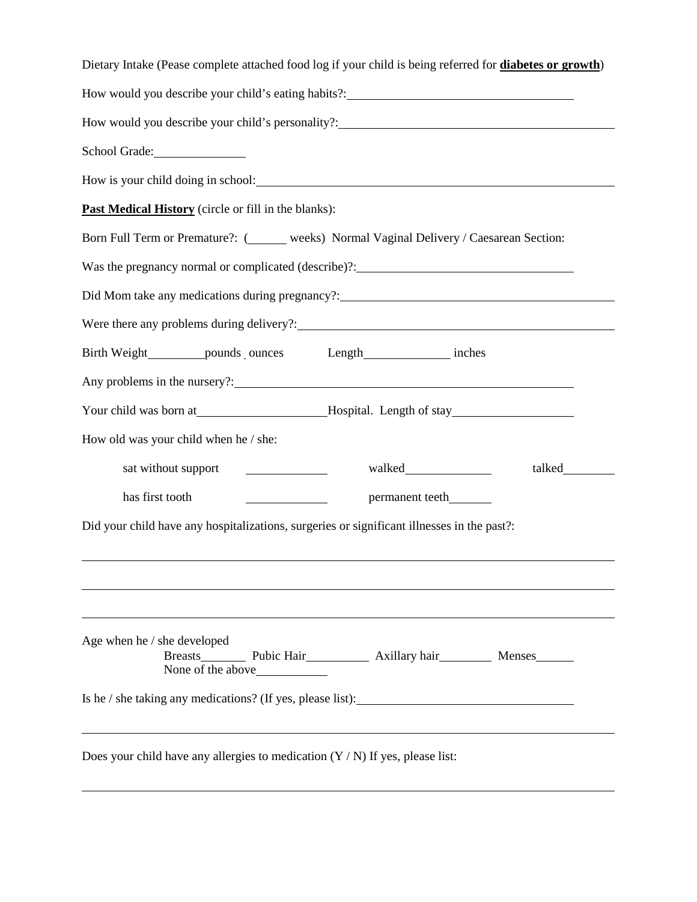| Dietary Intake (Pease complete attached food log if your child is being referred for diabetes or growth)                                              |
|-------------------------------------------------------------------------------------------------------------------------------------------------------|
|                                                                                                                                                       |
| How would you describe your child's personality?: _______________________________                                                                     |
| School Grade:                                                                                                                                         |
|                                                                                                                                                       |
| Past Medical History (circle or fill in the blanks):                                                                                                  |
| Born Full Term or Premature?: (______ weeks) Normal Vaginal Delivery / Caesarean Section:                                                             |
| Was the pregnancy normal or complicated (describe)?: ___________________________                                                                      |
| Did Mom take any medications during pregnancy?: _________________________________                                                                     |
|                                                                                                                                                       |
| Birth Weight_________ pounds_ounces Length______________ inches                                                                                       |
|                                                                                                                                                       |
| Your child was born at_______________________Hospital. Length of stay_______________________________                                                  |
| How old was your child when he / she:                                                                                                                 |
| sat without support<br><u> Albanya (Albanya)</u>                                                                                                      |
| has first tooth<br>permanent teeth_________<br><u>and the state of the state of the state</u>                                                         |
| Did your child have any hospitalizations, surgeries or significant illnesses in the past?:                                                            |
|                                                                                                                                                       |
|                                                                                                                                                       |
|                                                                                                                                                       |
| Age when he / she developed<br>Breasts___________ Pubic Hair_____________ Axillary hair____________ Menses______<br>None of the above <u>sequence</u> |
| Is he / she taking any medications? (If yes, please list):                                                                                            |
| Does your child have any allergies to medication $(Y/N)$ If yes, please list:                                                                         |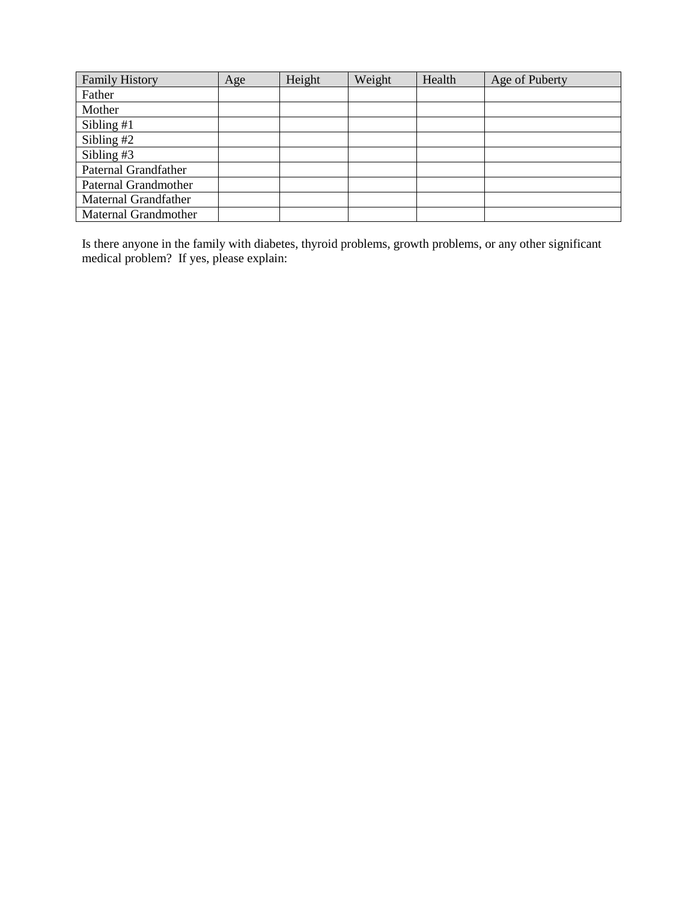| <b>Family History</b> | Age | Height | Weight | Health | Age of Puberty |
|-----------------------|-----|--------|--------|--------|----------------|
| Father                |     |        |        |        |                |
| Mother                |     |        |        |        |                |
| Sibling $#1$          |     |        |        |        |                |
| Sibling $#2$          |     |        |        |        |                |
| Sibling $#3$          |     |        |        |        |                |
| Paternal Grandfather  |     |        |        |        |                |
| Paternal Grandmother  |     |        |        |        |                |
| Maternal Grandfather  |     |        |        |        |                |
| Maternal Grandmother  |     |        |        |        |                |

Is there anyone in the family with diabetes, thyroid problems, growth problems, or any other significant medical problem? If yes, please explain: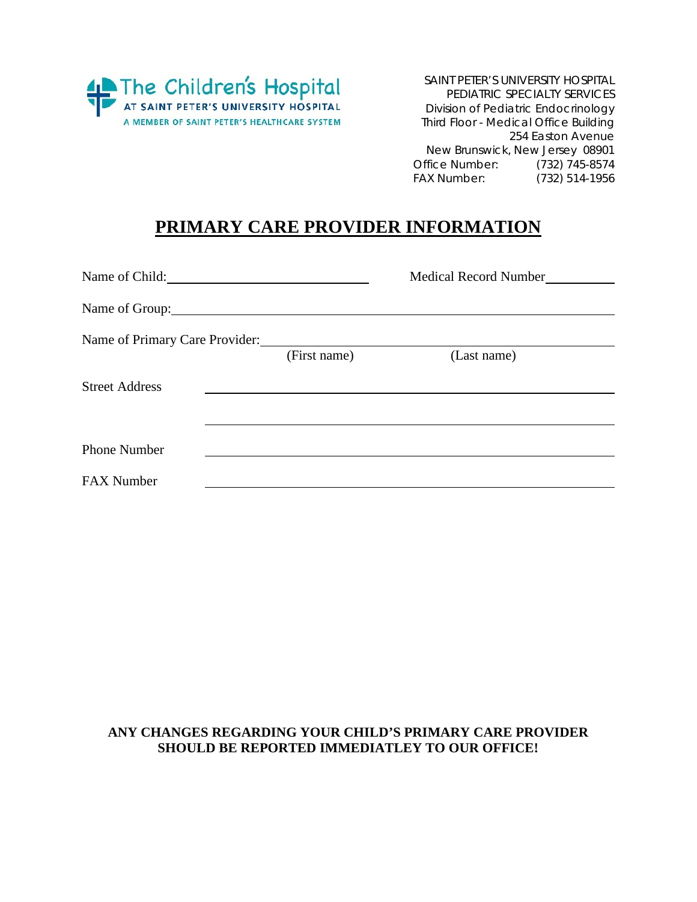

SAINT PETER'S UNIVERSITY HOSPITAL PEDIATRIC SPECIALTY SERVICES Division of Pediatric Endocrinology Third Floor - Medical Office Building 254 Easton Avenue New Brunswick, New Jersey 08901 Office Number: (732) 745-8574<br>FAX Number: (732) 514-1956 (732) 514-1956

## **PRIMARY CARE PROVIDER INFORMATION**

| Name of Child:                                                                                                      |              | Medical Record Number |
|---------------------------------------------------------------------------------------------------------------------|--------------|-----------------------|
| Name of Group: 2000 and 2000 and 2000 and 2000 and 2000 and 2000 and 2000 and 2000 and 2000 and 2000 and 2000 $\mu$ |              |                       |
| Name of Primary Care Provider:                                                                                      |              |                       |
|                                                                                                                     | (First name) | (Last name)           |
| <b>Street Address</b>                                                                                               |              |                       |
|                                                                                                                     |              |                       |
|                                                                                                                     |              |                       |
| <b>Phone Number</b>                                                                                                 |              |                       |
| <b>FAX Number</b>                                                                                                   |              |                       |

### **ANY CHANGES REGARDING YOUR CHILD'S PRIMARY CARE PROVIDER SHOULD BE REPORTED IMMEDIATLEY TO OUR OFFICE!**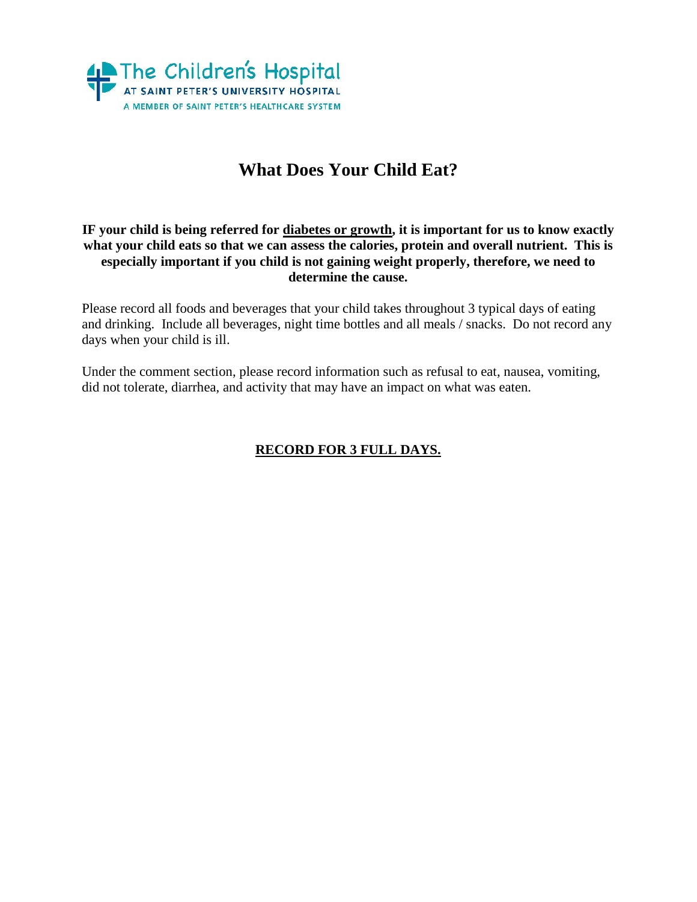

# **What Does Your Child Eat?**

### **IF your child is being referred for diabetes or growth, it is important for us to know exactly what your child eats so that we can assess the calories, protein and overall nutrient. This is especially important if you child is not gaining weight properly, therefore, we need to determine the cause.**

Please record all foods and beverages that your child takes throughout 3 typical days of eating and drinking. Include all beverages, night time bottles and all meals / snacks. Do not record any days when your child is ill.

Under the comment section, please record information such as refusal to eat, nausea, vomiting, did not tolerate, diarrhea, and activity that may have an impact on what was eaten.

### **RECORD FOR 3 FULL DAYS.**